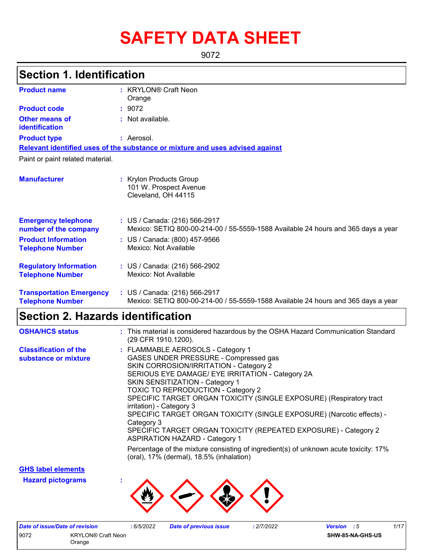# **SAFETY DATA SHEET**

9072

# **Section 1. Identification**

| <b>Product name</b>                                        | : KRYLON® Craft Neon                                                                                               |
|------------------------------------------------------------|--------------------------------------------------------------------------------------------------------------------|
| <b>Product code</b>                                        | Orange<br>: 9072                                                                                                   |
|                                                            |                                                                                                                    |
| Other means of<br>identification                           | $:$ Not available.                                                                                                 |
| <b>Product type</b>                                        | : Aerosol.                                                                                                         |
|                                                            | Relevant identified uses of the substance or mixture and uses advised against                                      |
| Paint or paint related material.                           |                                                                                                                    |
| <b>Manufacturer</b>                                        | : Krylon Products Group<br>101 W. Prospect Avenue<br>Cleveland, OH 44115                                           |
| <b>Emergency telephone</b><br>number of the company        | : US / Canada: (216) 566-2917<br>Mexico: SETIQ 800-00-214-00 / 55-5559-1588 Available 24 hours and 365 days a year |
| <b>Product Information</b><br><b>Telephone Number</b>      | : US / Canada: (800) 457-9566<br>Mexico: Not Available                                                             |
| <b>Regulatory Information</b><br><b>Telephone Number</b>   | : US / Canada: (216) 566-2902<br>Mexico: Not Available                                                             |
| <b>Transportation Emergency</b><br><b>Telephone Number</b> | : US / Canada: (216) 566-2917<br>Mexico: SETIQ 800-00-214-00 / 55-5559-1588 Available 24 hours and 365 days a year |

### **Section 2. Hazards identification**

| <b>OSHA/HCS status</b>                               | : This material is considered hazardous by the OSHA Hazard Communication Standard<br>(29 CFR 1910.1200).                                                                                                                                                                                                                                                                                                                                                                                                                                                              |
|------------------------------------------------------|-----------------------------------------------------------------------------------------------------------------------------------------------------------------------------------------------------------------------------------------------------------------------------------------------------------------------------------------------------------------------------------------------------------------------------------------------------------------------------------------------------------------------------------------------------------------------|
| <b>Classification of the</b><br>substance or mixture | : FLAMMABLE AEROSOLS - Category 1<br>GASES UNDER PRESSURE - Compressed gas<br>SKIN CORROSION/IRRITATION - Category 2<br>SERIOUS EYE DAMAGE/ EYE IRRITATION - Category 2A<br><b>SKIN SENSITIZATION - Category 1</b><br><b>TOXIC TO REPRODUCTION - Category 2</b><br>SPECIFIC TARGET ORGAN TOXICITY (SINGLE EXPOSURE) (Respiratory tract<br>irritation) - Category 3<br>SPECIFIC TARGET ORGAN TOXICITY (SINGLE EXPOSURE) (Narcotic effects) -<br>Category 3<br>SPECIFIC TARGET ORGAN TOXICITY (REPEATED EXPOSURE) - Category 2<br><b>ASPIRATION HAZARD - Category 1</b> |
|                                                      | Percentage of the mixture consisting of ingredient(s) of unknown acute toxicity: 17%<br>(oral), 17% (dermal), 18.5% (inhalation)                                                                                                                                                                                                                                                                                                                                                                                                                                      |

**GHS label elements**

**Hazard pictograms :**



|      | Date of issue/Date of revision | 6/5/2022 | Date of previous issue | : 2/7/2022 | 1/17<br><b>Version</b> : 5 |
|------|--------------------------------|----------|------------------------|------------|----------------------------|
| 9072 | <b>KRYLON® Craft Neon</b>      |          |                        |            | <b>SHW-85-NA-GHS-US</b>    |
|      | Orange                         |          |                        |            |                            |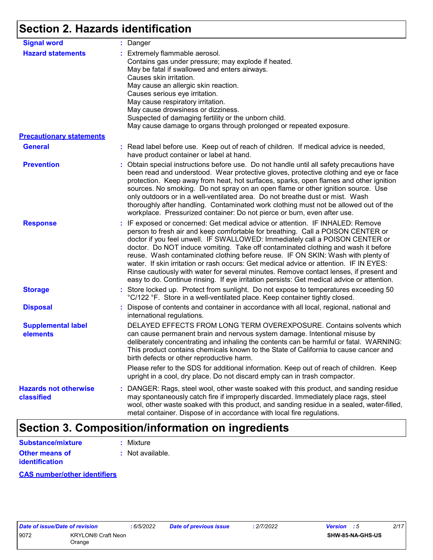# **Section 2. Hazards identification**

| <b>Signal word</b>                                          | : Danger                                                                                                                                                                                                                                                                                                                                                                                                                                                                                                                                                                                                                                                                                                    |
|-------------------------------------------------------------|-------------------------------------------------------------------------------------------------------------------------------------------------------------------------------------------------------------------------------------------------------------------------------------------------------------------------------------------------------------------------------------------------------------------------------------------------------------------------------------------------------------------------------------------------------------------------------------------------------------------------------------------------------------------------------------------------------------|
| <b>Hazard statements</b><br><b>Precautionary statements</b> | : Extremely flammable aerosol.<br>Contains gas under pressure; may explode if heated.<br>May be fatal if swallowed and enters airways.<br>Causes skin irritation.<br>May cause an allergic skin reaction.<br>Causes serious eye irritation.<br>May cause respiratory irritation.<br>May cause drowsiness or dizziness.<br>Suspected of damaging fertility or the unborn child.<br>May cause damage to organs through prolonged or repeated exposure.                                                                                                                                                                                                                                                        |
|                                                             |                                                                                                                                                                                                                                                                                                                                                                                                                                                                                                                                                                                                                                                                                                             |
| <b>General</b>                                              | : Read label before use. Keep out of reach of children. If medical advice is needed,<br>have product container or label at hand.                                                                                                                                                                                                                                                                                                                                                                                                                                                                                                                                                                            |
| <b>Prevention</b>                                           | : Obtain special instructions before use. Do not handle until all safety precautions have<br>been read and understood. Wear protective gloves, protective clothing and eye or face<br>protection. Keep away from heat, hot surfaces, sparks, open flames and other ignition<br>sources. No smoking. Do not spray on an open flame or other ignition source. Use<br>only outdoors or in a well-ventilated area. Do not breathe dust or mist. Wash<br>thoroughly after handling. Contaminated work clothing must not be allowed out of the<br>workplace. Pressurized container: Do not pierce or burn, even after use.                                                                                        |
| <b>Response</b>                                             | : IF exposed or concerned: Get medical advice or attention. IF INHALED: Remove<br>person to fresh air and keep comfortable for breathing. Call a POISON CENTER or<br>doctor if you feel unwell. IF SWALLOWED: Immediately call a POISON CENTER or<br>doctor. Do NOT induce vomiting. Take off contaminated clothing and wash it before<br>reuse. Wash contaminated clothing before reuse. IF ON SKIN: Wash with plenty of<br>water. If skin irritation or rash occurs: Get medical advice or attention. IF IN EYES:<br>Rinse cautiously with water for several minutes. Remove contact lenses, if present and<br>easy to do. Continue rinsing. If eye irritation persists: Get medical advice or attention. |
| <b>Storage</b>                                              | : Store locked up. Protect from sunlight. Do not expose to temperatures exceeding 50<br>°C/122 °F. Store in a well-ventilated place. Keep container tightly closed.                                                                                                                                                                                                                                                                                                                                                                                                                                                                                                                                         |
| <b>Disposal</b>                                             | : Dispose of contents and container in accordance with all local, regional, national and<br>international regulations.                                                                                                                                                                                                                                                                                                                                                                                                                                                                                                                                                                                      |
| <b>Supplemental label</b><br>elements                       | DELAYED EFFECTS FROM LONG TERM OVEREXPOSURE. Contains solvents which<br>can cause permanent brain and nervous system damage. Intentional misuse by<br>deliberately concentrating and inhaling the contents can be harmful or fatal. WARNING:<br>This product contains chemicals known to the State of California to cause cancer and<br>birth defects or other reproductive harm.                                                                                                                                                                                                                                                                                                                           |
|                                                             | Please refer to the SDS for additional information. Keep out of reach of children. Keep<br>upright in a cool, dry place. Do not discard empty can in trash compactor.                                                                                                                                                                                                                                                                                                                                                                                                                                                                                                                                       |
| <b>Hazards not otherwise</b><br>classified                  | : DANGER: Rags, steel wool, other waste soaked with this product, and sanding residue<br>may spontaneously catch fire if improperly discarded. Immediately place rags, steel<br>wool, other waste soaked with this product, and sanding residue in a sealed, water-filled,<br>metal container. Dispose of in accordance with local fire regulations.                                                                                                                                                                                                                                                                                                                                                        |

# **Section 3. Composition/information on ingredients**

| <b>Substance/mixture</b>                | : Mixture        |
|-----------------------------------------|------------------|
| Other means of<br><b>identification</b> | : Not available. |

#### **CAS number/other identifiers**

|      | :6/5/20<br>Date of issue/Date of revision |  |
|------|-------------------------------------------|--|
| 9072 | <b>KRYLON® Craft Neon</b>                 |  |
|      | Orange                                    |  |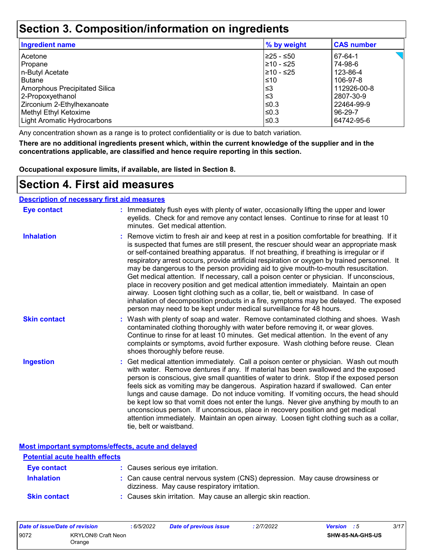### **Section 3. Composition/information on ingredients**

| <b>Ingredient name</b>               | % by weight | <b>CAS number</b> |
|--------------------------------------|-------------|-------------------|
| Acetone                              | 225 - ≤50   | 67-64-1           |
| Propane                              | 210 - ≤25   | 74-98-6           |
| n-Butyl Acetate                      | 210 - ≤25   | 123-86-4          |
| <b>Butane</b>                        | $\leq 10$   | 106-97-8          |
| <b>Amorphous Precipitated Silica</b> | '≤3         | 112926-00-8       |
| 2-Propoxyethanol                     | l≤3         | 2807-30-9         |
| Zirconium 2-Ethylhexanoate           | ≤0.3        | 22464-99-9        |
| Methyl Ethyl Ketoxime                | l≤0.3       | 96-29-7           |
| <b>Light Aromatic Hydrocarbons</b>   | l≤0.3       | 64742-95-6        |
|                                      |             |                   |

Any concentration shown as a range is to protect confidentiality or is due to batch variation.

**There are no additional ingredients present which, within the current knowledge of the supplier and in the concentrations applicable, are classified and hence require reporting in this section.**

**Occupational exposure limits, if available, are listed in Section 8.**

### **Section 4. First aid measures**

#### **Description of necessary first aid measures**

| <b>Eye contact</b>  | : Immediately flush eyes with plenty of water, occasionally lifting the upper and lower<br>eyelids. Check for and remove any contact lenses. Continue to rinse for at least 10<br>minutes. Get medical attention.                                                                                                                                                                                                                                                                                                                                                                                                                                                                                                                                                                                                                                                                                              |
|---------------------|----------------------------------------------------------------------------------------------------------------------------------------------------------------------------------------------------------------------------------------------------------------------------------------------------------------------------------------------------------------------------------------------------------------------------------------------------------------------------------------------------------------------------------------------------------------------------------------------------------------------------------------------------------------------------------------------------------------------------------------------------------------------------------------------------------------------------------------------------------------------------------------------------------------|
| <b>Inhalation</b>   | : Remove victim to fresh air and keep at rest in a position comfortable for breathing. If it<br>is suspected that fumes are still present, the rescuer should wear an appropriate mask<br>or self-contained breathing apparatus. If not breathing, if breathing is irregular or if<br>respiratory arrest occurs, provide artificial respiration or oxygen by trained personnel. It<br>may be dangerous to the person providing aid to give mouth-to-mouth resuscitation.<br>Get medical attention. If necessary, call a poison center or physician. If unconscious,<br>place in recovery position and get medical attention immediately. Maintain an open<br>airway. Loosen tight clothing such as a collar, tie, belt or waistband. In case of<br>inhalation of decomposition products in a fire, symptoms may be delayed. The exposed<br>person may need to be kept under medical surveillance for 48 hours. |
| <b>Skin contact</b> | : Wash with plenty of soap and water. Remove contaminated clothing and shoes. Wash<br>contaminated clothing thoroughly with water before removing it, or wear gloves.<br>Continue to rinse for at least 10 minutes. Get medical attention. In the event of any<br>complaints or symptoms, avoid further exposure. Wash clothing before reuse. Clean<br>shoes thoroughly before reuse.                                                                                                                                                                                                                                                                                                                                                                                                                                                                                                                          |
| <b>Ingestion</b>    | : Get medical attention immediately. Call a poison center or physician. Wash out mouth<br>with water. Remove dentures if any. If material has been swallowed and the exposed<br>person is conscious, give small quantities of water to drink. Stop if the exposed person<br>feels sick as vomiting may be dangerous. Aspiration hazard if swallowed. Can enter<br>lungs and cause damage. Do not induce vomiting. If vomiting occurs, the head should<br>be kept low so that vomit does not enter the lungs. Never give anything by mouth to an<br>unconscious person. If unconscious, place in recovery position and get medical<br>attention immediately. Maintain an open airway. Loosen tight clothing such as a collar,<br>tie, belt or waistband.                                                                                                                                                        |

**Most important symptoms/effects, acute and delayed**

| <b>Potential acute health effects</b> |                                                                                                                              |
|---------------------------------------|------------------------------------------------------------------------------------------------------------------------------|
| <b>Eye contact</b>                    | : Causes serious eye irritation.                                                                                             |
| <b>Inhalation</b>                     | : Can cause central nervous system (CNS) depression. May cause drowsiness or<br>dizziness. May cause respiratory irritation. |
| <b>Skin contact</b>                   | : Causes skin irritation. May cause an allergic skin reaction.                                                               |

| Date of issue/Date of revision |                                     | 6/5/2022 | <b>Date of previous issue</b> | : 2/7/2022 | <b>Version</b> : 5 |                  | 3/17 |
|--------------------------------|-------------------------------------|----------|-------------------------------|------------|--------------------|------------------|------|
| 9072                           | <b>KRYLON® Craft Neon</b><br>Orange |          |                               |            |                    | SHW-85-NA-GHS-US |      |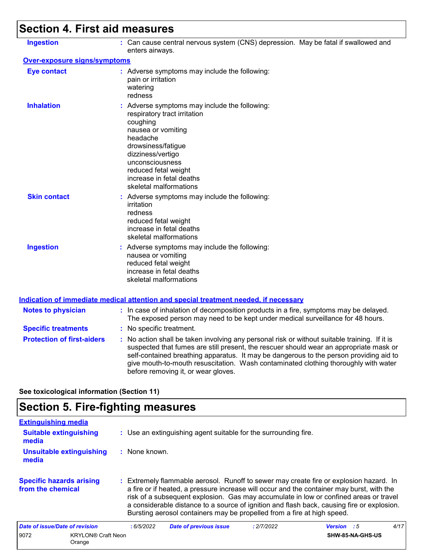# **Section 4. First aid measures**

| <b>Ingestion</b>                    | : Can cause central nervous system (CNS) depression. May be fatal if swallowed and<br>enters airways.                                                                                                                                                                                                                                                                                                           |
|-------------------------------------|-----------------------------------------------------------------------------------------------------------------------------------------------------------------------------------------------------------------------------------------------------------------------------------------------------------------------------------------------------------------------------------------------------------------|
| <b>Over-exposure signs/symptoms</b> |                                                                                                                                                                                                                                                                                                                                                                                                                 |
| <b>Eye contact</b>                  | : Adverse symptoms may include the following:<br>pain or irritation<br>watering<br>redness                                                                                                                                                                                                                                                                                                                      |
| <b>Inhalation</b>                   | : Adverse symptoms may include the following:<br>respiratory tract irritation<br>coughing<br>nausea or vomiting<br>headache<br>drowsiness/fatigue<br>dizziness/vertigo<br>unconsciousness<br>reduced fetal weight<br>increase in fetal deaths<br>skeletal malformations                                                                                                                                         |
| <b>Skin contact</b>                 | : Adverse symptoms may include the following:<br>irritation<br>redness<br>reduced fetal weight<br>increase in fetal deaths<br>skeletal malformations                                                                                                                                                                                                                                                            |
| <b>Ingestion</b>                    | : Adverse symptoms may include the following:<br>nausea or vomiting<br>reduced fetal weight<br>increase in fetal deaths<br>skeletal malformations                                                                                                                                                                                                                                                               |
|                                     | <u>Indication of immediate medical attention and special treatment needed, if necessary</u>                                                                                                                                                                                                                                                                                                                     |
| <b>Notes to physician</b>           | : In case of inhalation of decomposition products in a fire, symptoms may be delayed.<br>The exposed person may need to be kept under medical surveillance for 48 hours.                                                                                                                                                                                                                                        |
| <b>Specific treatments</b>          | : No specific treatment.                                                                                                                                                                                                                                                                                                                                                                                        |
| <b>Protection of first-aiders</b>   | : No action shall be taken involving any personal risk or without suitable training. If it is<br>suspected that fumes are still present, the rescuer should wear an appropriate mask or<br>self-contained breathing apparatus. It may be dangerous to the person providing aid to<br>give mouth-to-mouth resuscitation. Wash contaminated clothing thoroughly with water<br>before removing it, or wear gloves. |

**See toxicological information (Section 11)**

# **Section 5. Fire-fighting measures**

| <b>Extinguishing media</b>                           |           |                                                                         |            |                                                                                                                                                                                                                                                                                                                                                                            |      |  |  |  |
|------------------------------------------------------|-----------|-------------------------------------------------------------------------|------------|----------------------------------------------------------------------------------------------------------------------------------------------------------------------------------------------------------------------------------------------------------------------------------------------------------------------------------------------------------------------------|------|--|--|--|
| <b>Suitable extinguishing</b><br>media               |           | : Use an extinguishing agent suitable for the surrounding fire.         |            |                                                                                                                                                                                                                                                                                                                                                                            |      |  |  |  |
| <b>Unsuitable extinguishing</b><br>media             |           | $:$ None known.                                                         |            |                                                                                                                                                                                                                                                                                                                                                                            |      |  |  |  |
| <b>Specific hazards arising</b><br>from the chemical |           | Bursting aerosol containers may be propelled from a fire at high speed. |            | : Extremely flammable aerosol. Runoff to sewer may create fire or explosion hazard. In<br>a fire or if heated, a pressure increase will occur and the container may burst, with the<br>risk of a subsequent explosion. Gas may accumulate in low or confined areas or travel<br>a considerable distance to a source of ignition and flash back, causing fire or explosion. |      |  |  |  |
| Date of issue/Date of revision                       | :6/5/2022 | <b>Date of previous issue</b>                                           | : 2/7/2022 | <b>Version</b> : 5                                                                                                                                                                                                                                                                                                                                                         | 4/17 |  |  |  |
| 9072<br><b>KRYLON® Craft Neon</b><br>Orange          |           |                                                                         |            | SHW-85-NA-GHS-US                                                                                                                                                                                                                                                                                                                                                           |      |  |  |  |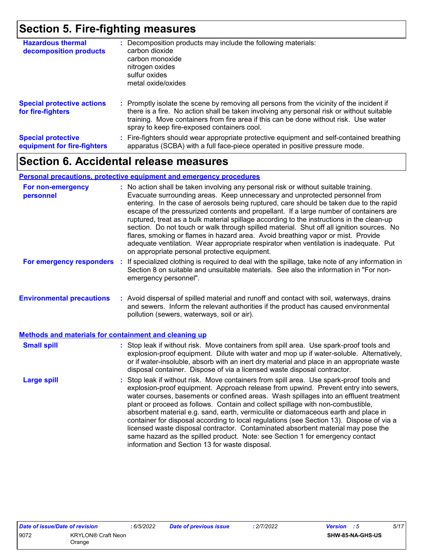## **Section 5. Fire-fighting measures**

| <b>Hazardous thermal</b><br>decomposition products       | Decomposition products may include the following materials:<br>carbon dioxide<br>carbon monoxide<br>nitrogen oxides<br>sulfur oxides<br>metal oxide/oxides                                                                                                                                                                    |
|----------------------------------------------------------|-------------------------------------------------------------------------------------------------------------------------------------------------------------------------------------------------------------------------------------------------------------------------------------------------------------------------------|
| <b>Special protective actions</b><br>for fire-fighters   | : Promptly isolate the scene by removing all persons from the vicinity of the incident if<br>there is a fire. No action shall be taken involving any personal risk or without suitable<br>training. Move containers from fire area if this can be done without risk. Use water<br>spray to keep fire-exposed containers cool. |
| <b>Special protective</b><br>equipment for fire-fighters | Fire-fighters should wear appropriate protective equipment and self-contained breathing<br>apparatus (SCBA) with a full face-piece operated in positive pressure mode.                                                                                                                                                        |

# **Section 6. Accidental release measures**

#### **Personal precautions, protective equipment and emergency procedures**

| For non-emergency<br>personnel                               | : No action shall be taken involving any personal risk or without suitable training.<br>Evacuate surrounding areas. Keep unnecessary and unprotected personnel from<br>entering. In the case of aerosols being ruptured, care should be taken due to the rapid<br>escape of the pressurized contents and propellant. If a large number of containers are<br>ruptured, treat as a bulk material spillage according to the instructions in the clean-up<br>section. Do not touch or walk through spilled material. Shut off all ignition sources. No<br>flares, smoking or flames in hazard area. Avoid breathing vapor or mist. Provide<br>adequate ventilation. Wear appropriate respirator when ventilation is inadequate. Put<br>on appropriate personal protective equipment. |  |
|--------------------------------------------------------------|----------------------------------------------------------------------------------------------------------------------------------------------------------------------------------------------------------------------------------------------------------------------------------------------------------------------------------------------------------------------------------------------------------------------------------------------------------------------------------------------------------------------------------------------------------------------------------------------------------------------------------------------------------------------------------------------------------------------------------------------------------------------------------|--|
| For emergency responders                                     | If specialized clothing is required to deal with the spillage, take note of any information in<br>÷.<br>Section 8 on suitable and unsuitable materials. See also the information in "For non-<br>emergency personnel".                                                                                                                                                                                                                                                                                                                                                                                                                                                                                                                                                           |  |
| <b>Environmental precautions</b>                             | : Avoid dispersal of spilled material and runoff and contact with soil, waterways, drains<br>and sewers. Inform the relevant authorities if the product has caused environmental<br>pollution (sewers, waterways, soil or air).                                                                                                                                                                                                                                                                                                                                                                                                                                                                                                                                                  |  |
| <b>Methods and materials for containment and cleaning up</b> |                                                                                                                                                                                                                                                                                                                                                                                                                                                                                                                                                                                                                                                                                                                                                                                  |  |
| <b>Small spill</b>                                           | : Stop leak if without risk. Move containers from spill area. Use spark-proof tools and<br>explosion-proof equipment. Dilute with water and mop up if water-soluble. Alternatively,<br>or if water-insoluble, absorb with an inert dry material and place in an appropriate waste<br>disposal container. Dispose of via a licensed waste disposal contractor.                                                                                                                                                                                                                                                                                                                                                                                                                    |  |
| <b>Large spill</b>                                           | : Stop leak if without risk. Move containers from spill area. Use spark-proof tools and<br>explosion-proof equipment. Approach release from upwind. Prevent entry into sewers,<br>water courses, basements or confined areas. Wash spillages into an effluent treatment<br>plant or proceed as follows. Contain and collect spillage with non-combustible,<br>absorbent material e.g. sand, earth, vermiculite or diatomaceous earth and place in<br>container for disposal according to local regulations (see Section 13). Dispose of via a<br>licensed waste disposal contractor. Contaminated absorbent material may pose the<br>same hazard as the spilled product. Note: see Section 1 for emergency contact<br>information and Section 13 for waste disposal.             |  |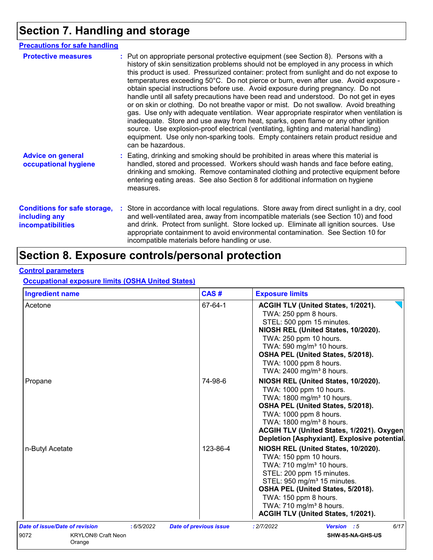# **Section 7. Handling and storage**

| <b>Precautions for safe handling</b>                                             |                                                                                                                                                                                                                                                                                                                                                                                                                                                                                                                                                                                                                                                                                                                                                                                                                                                                                                                                                                                                                           |
|----------------------------------------------------------------------------------|---------------------------------------------------------------------------------------------------------------------------------------------------------------------------------------------------------------------------------------------------------------------------------------------------------------------------------------------------------------------------------------------------------------------------------------------------------------------------------------------------------------------------------------------------------------------------------------------------------------------------------------------------------------------------------------------------------------------------------------------------------------------------------------------------------------------------------------------------------------------------------------------------------------------------------------------------------------------------------------------------------------------------|
| <b>Protective measures</b>                                                       | : Put on appropriate personal protective equipment (see Section 8). Persons with a<br>history of skin sensitization problems should not be employed in any process in which<br>this product is used. Pressurized container: protect from sunlight and do not expose to<br>temperatures exceeding 50°C. Do not pierce or burn, even after use. Avoid exposure -<br>obtain special instructions before use. Avoid exposure during pregnancy. Do not<br>handle until all safety precautions have been read and understood. Do not get in eyes<br>or on skin or clothing. Do not breathe vapor or mist. Do not swallow. Avoid breathing<br>gas. Use only with adequate ventilation. Wear appropriate respirator when ventilation is<br>inadequate. Store and use away from heat, sparks, open flame or any other ignition<br>source. Use explosion-proof electrical (ventilating, lighting and material handling)<br>equipment. Use only non-sparking tools. Empty containers retain product residue and<br>can be hazardous. |
| <b>Advice on general</b><br>occupational hygiene                                 | : Eating, drinking and smoking should be prohibited in areas where this material is<br>handled, stored and processed. Workers should wash hands and face before eating,<br>drinking and smoking. Remove contaminated clothing and protective equipment before<br>entering eating areas. See also Section 8 for additional information on hygiene<br>measures.                                                                                                                                                                                                                                                                                                                                                                                                                                                                                                                                                                                                                                                             |
| <b>Conditions for safe storage,</b><br>including any<br><b>incompatibilities</b> | : Store in accordance with local regulations. Store away from direct sunlight in a dry, cool<br>and well-ventilated area, away from incompatible materials (see Section 10) and food<br>and drink. Protect from sunlight. Store locked up. Eliminate all ignition sources. Use<br>appropriate containment to avoid environmental contamination. See Section 10 for<br>incompatible materials before handling or use.                                                                                                                                                                                                                                                                                                                                                                                                                                                                                                                                                                                                      |

# **Section 8. Exposure controls/personal protection**

#### **Control parameters**

#### **Occupational exposure limits (OSHA United States)**

| <b>Ingredient name</b>                       | CAS#                          | <b>Exposure limits</b>                                                                                                                                                                                                                                                                                                   |
|----------------------------------------------|-------------------------------|--------------------------------------------------------------------------------------------------------------------------------------------------------------------------------------------------------------------------------------------------------------------------------------------------------------------------|
| Acetone                                      | 67-64-1                       | ACGIH TLV (United States, 1/2021).<br>TWA: 250 ppm 8 hours.<br>STEL: 500 ppm 15 minutes.<br>NIOSH REL (United States, 10/2020).<br>TWA: 250 ppm 10 hours.<br>TWA: 590 mg/m <sup>3</sup> 10 hours.<br>OSHA PEL (United States, 5/2018).<br>TWA: 1000 ppm 8 hours.<br>TWA: 2400 mg/m <sup>3</sup> 8 hours.                 |
| Propane                                      | 74-98-6                       | NIOSH REL (United States, 10/2020).<br>TWA: 1000 ppm 10 hours.<br>TWA: 1800 mg/m <sup>3</sup> 10 hours.<br>OSHA PEL (United States, 5/2018).<br>TWA: 1000 ppm 8 hours.<br>TWA: 1800 mg/m <sup>3</sup> 8 hours.<br>ACGIH TLV (United States, 1/2021). Oxygen<br>Depletion [Asphyxiant]. Explosive potential.              |
| n-Butyl Acetate                              | 123-86-4                      | NIOSH REL (United States, 10/2020).<br>TWA: 150 ppm 10 hours.<br>TWA: 710 mg/m <sup>3</sup> 10 hours.<br>STEL: 200 ppm 15 minutes.<br>STEL: 950 mg/m <sup>3</sup> 15 minutes.<br>OSHA PEL (United States, 5/2018).<br>TWA: 150 ppm 8 hours.<br>TWA: 710 mg/m <sup>3</sup> 8 hours.<br>ACGIH TLV (United States, 1/2021). |
| Date of issue/Date of revision<br>: 6/5/2022 | <b>Date of previous issue</b> | 6/17<br>: 2/7/2022<br>Version : 5                                                                                                                                                                                                                                                                                        |
| 9072<br><b>KRYLON® Craft Neon</b><br>Orange  |                               | SHW-85-NA-GHS-US                                                                                                                                                                                                                                                                                                         |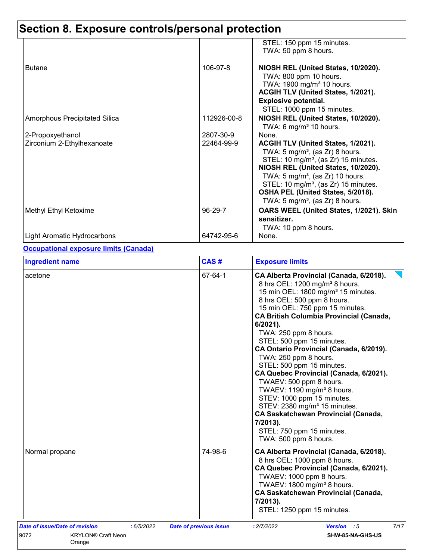|                               |             | STEL: 150 ppm 15 minutes.<br>TWA: 50 ppm 8 hours.                                                                                                                                                                                                                                                                                                                   |
|-------------------------------|-------------|---------------------------------------------------------------------------------------------------------------------------------------------------------------------------------------------------------------------------------------------------------------------------------------------------------------------------------------------------------------------|
| <b>Butane</b>                 | 106-97-8    | NIOSH REL (United States, 10/2020).<br>TWA: 800 ppm 10 hours.<br>TWA: 1900 mg/m <sup>3</sup> 10 hours.<br>ACGIH TLV (United States, 1/2021).<br><b>Explosive potential.</b><br>STEL: 1000 ppm 15 minutes.                                                                                                                                                           |
| Amorphous Precipitated Silica | 112926-00-8 | NIOSH REL (United States, 10/2020).<br>TWA: 6 mg/m <sup>3</sup> 10 hours.                                                                                                                                                                                                                                                                                           |
| 2-Propoxyethanol              | 2807-30-9   | None.                                                                                                                                                                                                                                                                                                                                                               |
| Zirconium 2-Ethylhexanoate    | 22464-99-9  | ACGIH TLV (United States, 1/2021).<br>TWA: 5 mg/m <sup>3</sup> , (as Zr) 8 hours.<br>STEL: 10 mg/m <sup>3</sup> , (as Zr) 15 minutes.<br>NIOSH REL (United States, 10/2020).<br>TWA: $5 \text{ mg/m}^3$ , (as Zr) 10 hours.<br>STEL: 10 mg/m <sup>3</sup> , (as Zr) 15 minutes.<br>OSHA PEL (United States, 5/2018).<br>TWA: 5 mg/m <sup>3</sup> , (as Zr) 8 hours. |
| Methyl Ethyl Ketoxime         | 96-29-7     | OARS WEEL (United States, 1/2021). Skin<br>sensitizer.<br>TWA: 10 ppm 8 hours.                                                                                                                                                                                                                                                                                      |
| Light Aromatic Hydrocarbons   | 64742-95-6  | None.                                                                                                                                                                                                                                                                                                                                                               |

#### **Occupational exposure limits (Canada)**

| <b>Ingredient name</b>                                                                      | CAS#                          | <b>Exposure limits</b>                                                                                                                                                                                                                                                                                                                                                                                                                                                                                                                                                                                                                                                                                                                  |
|---------------------------------------------------------------------------------------------|-------------------------------|-----------------------------------------------------------------------------------------------------------------------------------------------------------------------------------------------------------------------------------------------------------------------------------------------------------------------------------------------------------------------------------------------------------------------------------------------------------------------------------------------------------------------------------------------------------------------------------------------------------------------------------------------------------------------------------------------------------------------------------------|
| acetone                                                                                     | 67-64-1                       | CA Alberta Provincial (Canada, 6/2018).<br>8 hrs OEL: 1200 mg/m <sup>3</sup> 8 hours.<br>15 min OEL: 1800 mg/m <sup>3</sup> 15 minutes.<br>8 hrs OEL: 500 ppm 8 hours.<br>15 min OEL: 750 ppm 15 minutes.<br><b>CA British Columbia Provincial (Canada,</b><br>6/2021).<br>TWA: 250 ppm 8 hours.<br>STEL: 500 ppm 15 minutes.<br>CA Ontario Provincial (Canada, 6/2019).<br>TWA: 250 ppm 8 hours.<br>STEL: 500 ppm 15 minutes.<br>CA Quebec Provincial (Canada, 6/2021).<br>TWAEV: 500 ppm 8 hours.<br>TWAEV: 1190 mg/m <sup>3</sup> 8 hours.<br>STEV: 1000 ppm 15 minutes.<br>STEV: 2380 mg/m <sup>3</sup> 15 minutes.<br><b>CA Saskatchewan Provincial (Canada,</b><br>7/2013).<br>STEL: 750 ppm 15 minutes.<br>TWA: 500 ppm 8 hours. |
| Normal propane                                                                              | 74-98-6                       | CA Alberta Provincial (Canada, 6/2018).<br>8 hrs OEL: 1000 ppm 8 hours.<br>CA Quebec Provincial (Canada, 6/2021).<br>TWAEV: 1000 ppm 8 hours.<br>TWAEV: 1800 mg/m <sup>3</sup> 8 hours.<br><b>CA Saskatchewan Provincial (Canada,</b><br>7/2013).<br>STEL: 1250 ppm 15 minutes.                                                                                                                                                                                                                                                                                                                                                                                                                                                         |
| Date of issue/Date of revision<br>: 6/5/2022<br>9072<br><b>KRYLON® Craft Neon</b><br>Orange | <b>Date of previous issue</b> | 7/17<br>: 2/7/2022<br>Version : 5<br>SHW-85-NA-GHS-US                                                                                                                                                                                                                                                                                                                                                                                                                                                                                                                                                                                                                                                                                   |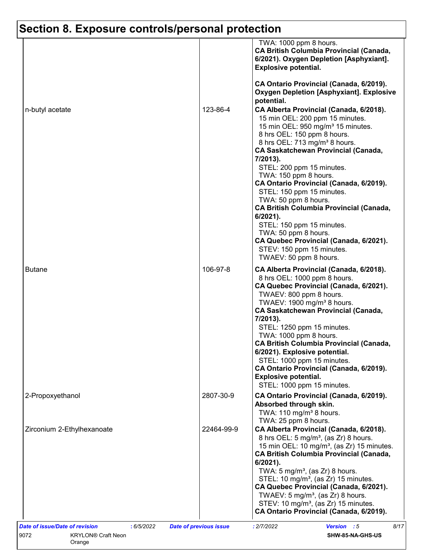|                            |            | TWA: 1000 ppm 8 hours.<br><b>CA British Columbia Provincial (Canada,</b><br>6/2021). Oxygen Depletion [Asphyxiant].<br><b>Explosive potential.</b>                                                                                                                                                                                                                                                                                                                                                                                |
|----------------------------|------------|-----------------------------------------------------------------------------------------------------------------------------------------------------------------------------------------------------------------------------------------------------------------------------------------------------------------------------------------------------------------------------------------------------------------------------------------------------------------------------------------------------------------------------------|
| n-butyl acetate            | 123-86-4   | CA Ontario Provincial (Canada, 6/2019).<br><b>Oxygen Depletion [Asphyxiant]. Explosive</b><br>potential.<br>CA Alberta Provincial (Canada, 6/2018).<br>15 min OEL: 200 ppm 15 minutes.<br>15 min OEL: 950 mg/m <sup>3</sup> 15 minutes.<br>8 hrs OEL: 150 ppm 8 hours.<br>8 hrs OEL: 713 mg/m <sup>3</sup> 8 hours.<br><b>CA Saskatchewan Provincial (Canada,</b><br>7/2013).                                                                                                                                                     |
|                            |            | STEL: 200 ppm 15 minutes.<br>TWA: 150 ppm 8 hours.<br>CA Ontario Provincial (Canada, 6/2019).<br>STEL: 150 ppm 15 minutes.<br>TWA: 50 ppm 8 hours.<br><b>CA British Columbia Provincial (Canada,</b><br>6/2021).<br>STEL: 150 ppm 15 minutes.<br>TWA: 50 ppm 8 hours.<br>CA Quebec Provincial (Canada, 6/2021).<br>STEV: 150 ppm 15 minutes.<br>TWAEV: 50 ppm 8 hours.                                                                                                                                                            |
| <b>Butane</b>              | 106-97-8   | CA Alberta Provincial (Canada, 6/2018).<br>8 hrs OEL: 1000 ppm 8 hours.<br>CA Quebec Provincial (Canada, 6/2021).<br>TWAEV: 800 ppm 8 hours.<br>TWAEV: 1900 mg/m <sup>3</sup> 8 hours.<br><b>CA Saskatchewan Provincial (Canada,</b><br>7/2013).<br>STEL: 1250 ppm 15 minutes.<br>TWA: 1000 ppm 8 hours.<br><b>CA British Columbia Provincial (Canada,</b><br>6/2021). Explosive potential.<br>STEL: 1000 ppm 15 minutes.<br>CA Ontario Provincial (Canada, 6/2019).<br><b>Explosive potential.</b><br>STEL: 1000 ppm 15 minutes. |
| 2-Propoxyethanol           | 2807-30-9  | CA Ontario Provincial (Canada, 6/2019).<br>Absorbed through skin.<br>TWA: $110 \text{ mg/m}^3$ 8 hours.<br>TWA: 25 ppm 8 hours.                                                                                                                                                                                                                                                                                                                                                                                                   |
| Zirconium 2-Ethylhexanoate | 22464-99-9 | CA Alberta Provincial (Canada, 6/2018).<br>8 hrs OEL: 5 mg/m <sup>3</sup> , (as Zr) 8 hours.<br>15 min OEL: 10 mg/m <sup>3</sup> , (as Zr) 15 minutes.<br><b>CA British Columbia Provincial (Canada,</b><br>$6/2021$ ).<br>TWA: $5 \text{ mg/m}^3$ , (as Zr) 8 hours.<br>STEL: 10 mg/m <sup>3</sup> , (as Zr) 15 minutes.<br>CA Quebec Provincial (Canada, 6/2021).<br>TWAEV: $5 \text{ mg/m}^3$ , (as Zr) 8 hours.<br>STEV: 10 mg/m <sup>3</sup> , (as Zr) 15 minutes.<br>CA Ontario Provincial (Canada, 6/2019).                |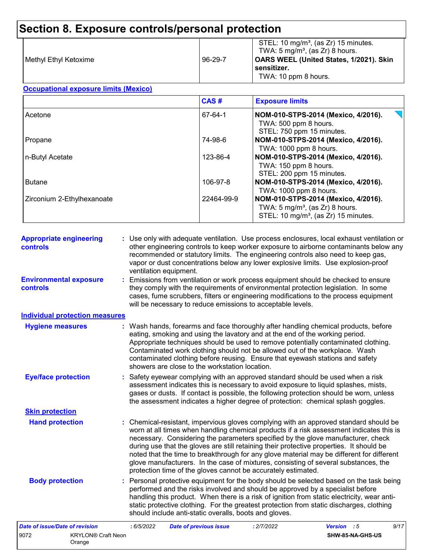| l Methvl Ethvl Ketoxime | 96-29-7 | STEL: 10 mg/m <sup>3</sup> , (as Zr) 15 minutes.<br>TWA: 5 mg/m <sup>3</sup> , (as Zr) 8 hours.<br>OARS WEEL (United States, 1/2021). Skin<br>sensitizer.<br>TWA: 10 ppm 8 hours. |
|-------------------------|---------|-----------------------------------------------------------------------------------------------------------------------------------------------------------------------------------|
|-------------------------|---------|-----------------------------------------------------------------------------------------------------------------------------------------------------------------------------------|

#### **Occupational exposure limits (Mexico)**

|                            | CAS#       | <b>Exposure limits</b>                                                                                                                |
|----------------------------|------------|---------------------------------------------------------------------------------------------------------------------------------------|
| Acetone                    | 67-64-1    | $\overline{\phantom{a}}$<br>NOM-010-STPS-2014 (Mexico, 4/2016).<br>TWA: 500 ppm 8 hours.<br>STEL: 750 ppm 15 minutes.                 |
| Propane                    | 74-98-6    | NOM-010-STPS-2014 (Mexico, 4/2016).<br>TWA: 1000 ppm 8 hours.                                                                         |
| n-Butyl Acetate            | 123-86-4   | NOM-010-STPS-2014 (Mexico, 4/2016).<br>TWA: 150 ppm 8 hours.<br>STEL: 200 ppm 15 minutes.                                             |
| <b>Butane</b>              | 106-97-8   | NOM-010-STPS-2014 (Mexico, 4/2016).<br>TWA: 1000 ppm 8 hours.                                                                         |
| Zirconium 2-Ethylhexanoate | 22464-99-9 | NOM-010-STPS-2014 (Mexico, 4/2016).<br>TWA: $5 \text{ mg/m}^3$ , (as Zr) 8 hours.<br>STEL: 10 mg/m <sup>3</sup> , (as Zr) 15 minutes. |

| <b>Appropriate engineering</b><br>controls | : Use only with adequate ventilation. Use process enclosures, local exhaust ventilation or<br>other engineering controls to keep worker exposure to airborne contaminants below any<br>recommended or statutory limits. The engineering controls also need to keep gas,<br>vapor or dust concentrations below any lower explosive limits. Use explosion-proof<br>ventilation equipment.                                                                                                                                                                                                                                |                                                                                                                                                                                                                                                                                                                                 |             |  |      |  |  |
|--------------------------------------------|------------------------------------------------------------------------------------------------------------------------------------------------------------------------------------------------------------------------------------------------------------------------------------------------------------------------------------------------------------------------------------------------------------------------------------------------------------------------------------------------------------------------------------------------------------------------------------------------------------------------|---------------------------------------------------------------------------------------------------------------------------------------------------------------------------------------------------------------------------------------------------------------------------------------------------------------------------------|-------------|--|------|--|--|
| <b>Environmental exposure</b><br>controls  |                                                                                                                                                                                                                                                                                                                                                                                                                                                                                                                                                                                                                        | : Emissions from ventilation or work process equipment should be checked to ensure<br>they comply with the requirements of environmental protection legislation. In some<br>cases, fume scrubbers, filters or engineering modifications to the process equipment<br>will be necessary to reduce emissions to acceptable levels. |             |  |      |  |  |
| <b>Individual protection measures</b>      |                                                                                                                                                                                                                                                                                                                                                                                                                                                                                                                                                                                                                        |                                                                                                                                                                                                                                                                                                                                 |             |  |      |  |  |
| <b>Hygiene measures</b>                    | : Wash hands, forearms and face thoroughly after handling chemical products, before<br>eating, smoking and using the lavatory and at the end of the working period.<br>Appropriate techniques should be used to remove potentially contaminated clothing.<br>Contaminated work clothing should not be allowed out of the workplace. Wash<br>contaminated clothing before reusing. Ensure that eyewash stations and safety<br>showers are close to the workstation location.                                                                                                                                            |                                                                                                                                                                                                                                                                                                                                 |             |  |      |  |  |
| <b>Eye/face protection</b>                 | : Safety eyewear complying with an approved standard should be used when a risk<br>assessment indicates this is necessary to avoid exposure to liquid splashes, mists,<br>gases or dusts. If contact is possible, the following protection should be worn, unless<br>the assessment indicates a higher degree of protection: chemical splash goggles.                                                                                                                                                                                                                                                                  |                                                                                                                                                                                                                                                                                                                                 |             |  |      |  |  |
| <b>Skin protection</b>                     |                                                                                                                                                                                                                                                                                                                                                                                                                                                                                                                                                                                                                        |                                                                                                                                                                                                                                                                                                                                 |             |  |      |  |  |
| <b>Hand protection</b>                     | : Chemical-resistant, impervious gloves complying with an approved standard should be<br>worn at all times when handling chemical products if a risk assessment indicates this is<br>necessary. Considering the parameters specified by the glove manufacturer, check<br>during use that the gloves are still retaining their protective properties. It should be<br>noted that the time to breakthrough for any glove material may be different for different<br>glove manufacturers. In the case of mixtures, consisting of several substances, the<br>protection time of the gloves cannot be accurately estimated. |                                                                                                                                                                                                                                                                                                                                 |             |  |      |  |  |
| <b>Body protection</b>                     | : Personal protective equipment for the body should be selected based on the task being<br>performed and the risks involved and should be approved by a specialist before<br>handling this product. When there is a risk of ignition from static electricity, wear anti-<br>static protective clothing. For the greatest protection from static discharges, clothing<br>should include anti-static overalls, boots and gloves.                                                                                                                                                                                         |                                                                                                                                                                                                                                                                                                                                 |             |  |      |  |  |
| <b>Date of issue/Date of revision</b>      | : 6/5/2022<br><b>Date of previous issue</b>                                                                                                                                                                                                                                                                                                                                                                                                                                                                                                                                                                            | : 2/7/2022                                                                                                                                                                                                                                                                                                                      | Version : 5 |  | 9/17 |  |  |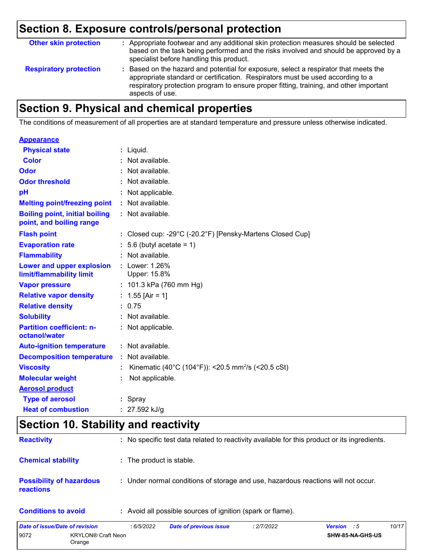| <b>Other skin protection</b>  | : Appropriate footwear and any additional skin protection measures should be selected<br>based on the task being performed and the risks involved and should be approved by a<br>specialist before handling this product.                                                           |
|-------------------------------|-------------------------------------------------------------------------------------------------------------------------------------------------------------------------------------------------------------------------------------------------------------------------------------|
| <b>Respiratory protection</b> | : Based on the hazard and potential for exposure, select a respirator that meets the<br>appropriate standard or certification. Respirators must be used according to a<br>respiratory protection program to ensure proper fitting, training, and other important<br>aspects of use. |

# **Section 9. Physical and chemical properties**

The conditions of measurement of all properties are at standard temperature and pressure unless otherwise indicated.

| <b>Appearance</b>                                                 |    |                                                                |
|-------------------------------------------------------------------|----|----------------------------------------------------------------|
| <b>Physical state</b>                                             |    | $:$ Liquid.                                                    |
| <b>Color</b>                                                      |    | Not available.                                                 |
| Odor                                                              |    | Not available.                                                 |
| <b>Odor threshold</b>                                             |    | $\cdot$ Not available.                                         |
| pH                                                                |    | : Not applicable.                                              |
| <b>Melting point/freezing point</b>                               | ÷. | Not available.                                                 |
| <b>Boiling point, initial boiling</b><br>point, and boiling range |    | : Not available.                                               |
| <b>Flash point</b>                                                |    | : Closed cup: -29°C (-20.2°F) [Pensky-Martens Closed Cup]      |
| <b>Evaporation rate</b>                                           |    | $: 5.6$ (butyl acetate = 1)                                    |
| <b>Flammability</b>                                               |    | : Not available.                                               |
| Lower and upper explosion<br>limit/flammability limit             |    | : Lower: 1.26%<br>Upper: 15.8%                                 |
| <b>Vapor pressure</b>                                             |    | : $101.3$ kPa (760 mm Hg)                                      |
| <b>Relative vapor density</b>                                     |    | : $1.55$ [Air = 1]                                             |
| <b>Relative density</b>                                           |    | 0.75                                                           |
| <b>Solubility</b>                                                 |    | : Not available.                                               |
| <b>Partition coefficient: n-</b><br>octanol/water                 |    | : Not applicable.                                              |
| <b>Auto-ignition temperature</b>                                  |    | : Not available.                                               |
| <b>Decomposition temperature</b>                                  |    | Not available.                                                 |
| <b>Viscosity</b>                                                  |    | Kinematic (40°C (104°F)): <20.5 mm <sup>2</sup> /s (<20.5 cSt) |
| <b>Molecular weight</b>                                           |    | Not applicable.                                                |
| <b>Aerosol product</b>                                            |    |                                                                |
| <b>Type of aerosol</b>                                            |    | $:$ Spray                                                      |
| <b>Heat of combustion</b>                                         |    | : $27.592$ kJ/g                                                |

### **Section 10. Stability and reactivity**

| <b>Reactivity</b>                                   | : No specific test data related to reactivity available for this product or its ingredients. |
|-----------------------------------------------------|----------------------------------------------------------------------------------------------|
| <b>Chemical stability</b>                           | : The product is stable.                                                                     |
| <b>Possibility of hazardous</b><br><b>reactions</b> | : Under normal conditions of storage and use, hazardous reactions will not occur.            |
| <b>Conditions to avoid</b>                          | : Avoid all possible sources of ignition (spark or flame).                                   |

| Date of issue/Date of revision |                                     | : 6/5/2022 | <b>Date of previous issue</b> | : 2/7/2022 | <b>Version</b> : 5 |                         | 10/17 |
|--------------------------------|-------------------------------------|------------|-------------------------------|------------|--------------------|-------------------------|-------|
| 9072                           | <b>KRYLON® Craft Neon</b><br>Orange |            |                               |            |                    | <b>SHW-85-NA-GHS-US</b> |       |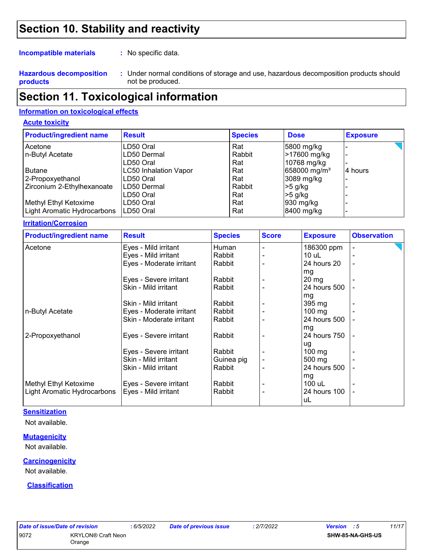### **Section 10. Stability and reactivity**

**Incompatible materials :**

: No specific data.

**Hazardous decomposition products**

Under normal conditions of storage and use, hazardous decomposition products should **:** not be produced.

### **Section 11. Toxicological information**

#### **Information on toxicological effects**

#### **Acute toxicity**

| <b>Product/ingredient name</b> | <b>Result</b>                | <b>Species</b> | <b>Dose</b>              | <b>Exposure</b> |
|--------------------------------|------------------------------|----------------|--------------------------|-----------------|
| Acetone                        | LD50 Oral                    | Rat            | 5800 mg/kg               |                 |
| n-Butyl Acetate                | LD50 Dermal                  | Rabbit         | >17600 mg/kg             |                 |
|                                | LD50 Oral                    | Rat            | 10768 mg/kg              |                 |
| <b>Butane</b>                  | <b>LC50 Inhalation Vapor</b> | Rat            | 658000 mg/m <sup>3</sup> | 4 hours         |
| 2-Propoxyethanol               | LD50 Oral                    | Rat            | 3089 mg/kg               |                 |
| Zirconium 2-Ethylhexanoate     | ILD50 Dermal                 | Rabbit         | $>5$ g/kg                |                 |
|                                | LD50 Oral                    | Rat            | $>5$ g/kg                |                 |
| Methyl Ethyl Ketoxime          | LD50 Oral                    | Rat            | $ 930 \text{ mg/kg} $    |                 |
| Light Aromatic Hydrocarbons    | ILD50 Oral                   | Rat            | 8400 mg/kg               |                 |

#### **Irritation/Corrosion**

| <b>Product/ingredient name</b> | <b>Result</b>            | <b>Species</b> | <b>Score</b> | <b>Exposure</b>    | <b>Observation</b> |
|--------------------------------|--------------------------|----------------|--------------|--------------------|--------------------|
| Acetone                        | Eyes - Mild irritant     | Human          |              | 186300 ppm         | $\overline{a}$     |
|                                | Eyes - Mild irritant     | Rabbit         |              | $10$ uL            |                    |
|                                | Eyes - Moderate irritant | Rabbit         |              | 24 hours 20        |                    |
|                                | Eyes - Severe irritant   | Rabbit         |              | mg<br>$20 \, mg$   |                    |
|                                | Skin - Mild irritant     | Rabbit         |              | 24 hours 500       |                    |
|                                |                          |                |              | mg                 |                    |
|                                | Skin - Mild irritant     | Rabbit         |              | 395 mg             |                    |
| n-Butyl Acetate                | Eyes - Moderate irritant | Rabbit         |              | $100$ mg           |                    |
|                                | Skin - Moderate irritant | Rabbit         |              | 24 hours 500       |                    |
|                                |                          |                |              | mg                 |                    |
| 2-Propoxyethanol               | Eyes - Severe irritant   | Rabbit         |              | 24 hours 750       |                    |
|                                |                          |                |              | ug                 |                    |
|                                | Eyes - Severe irritant   | Rabbit         |              | $100 \text{ mg}$   |                    |
|                                | Skin - Mild irritant     | Guinea pig     |              | 500 mg             |                    |
|                                | Skin - Mild irritant     | Rabbit         |              | 24 hours 500       |                    |
|                                |                          |                |              | mg                 |                    |
| Methyl Ethyl Ketoxime          | Eyes - Severe irritant   | Rabbit         |              | 100 uL             |                    |
| Light Aromatic Hydrocarbons    | Eyes - Mild irritant     | Rabbit         |              | 24 hours 100<br>uL | ۰                  |

#### **Sensitization**

Not available.

#### **Mutagenicity**

Not available.

#### **Carcinogenicity**

Not available.

#### **Classification**

| Date of issue/Date of revision | : 6/5/20                            |  |
|--------------------------------|-------------------------------------|--|
| 9072                           | <b>KRYLON® Craft Neon</b><br>Orange |  |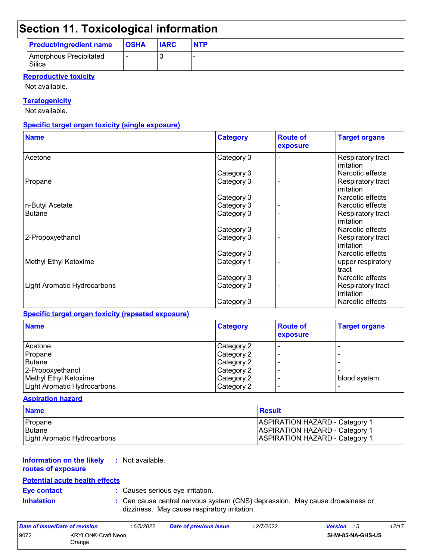## **Section 11. Toxicological information**

| <b>Product/ingredient name</b>   | <b>OSHA</b> | <b>IARC</b> | <b>NTP</b> |
|----------------------------------|-------------|-------------|------------|
| Amorphous Precipitated<br>Silica |             |             |            |

#### **Reproductive toxicity**

Not available.

#### **Teratogenicity**

Not available.

#### **Specific target organ toxicity (single exposure)**

| <b>Name</b>                 | <b>Category</b> | <b>Route of</b><br>exposure | <b>Target organs</b>            |
|-----------------------------|-----------------|-----------------------------|---------------------------------|
| Acetone                     | Category 3      |                             | Respiratory tract<br>irritation |
|                             | Category 3      |                             | Narcotic effects                |
| Propane                     | Category 3      |                             | Respiratory tract<br>irritation |
|                             | Category 3      |                             | Narcotic effects                |
| n-Butyl Acetate             | Category 3      |                             | Narcotic effects                |
| <b>Butane</b>               | Category 3      |                             | Respiratory tract<br>irritation |
|                             | Category 3      |                             | Narcotic effects                |
| 2-Propoxyethanol            | Category 3      |                             | Respiratory tract<br>irritation |
|                             | Category 3      |                             | Narcotic effects                |
| Methyl Ethyl Ketoxime       | Category 1      |                             | upper respiratory<br>tract      |
|                             | Category 3      |                             | Narcotic effects                |
| Light Aromatic Hydrocarbons | Category 3      |                             | Respiratory tract<br>irritation |
|                             | Category 3      |                             | Narcotic effects                |

#### **Specific target organ toxicity (repeated exposure)**

| <b>Name</b>                 | <b>Category</b> | <b>Route of</b><br>exposure | <b>Target organs</b> |
|-----------------------------|-----------------|-----------------------------|----------------------|
| Acetone                     | Category 2      |                             |                      |
| Propane                     | Category 2      |                             |                      |
| <b>Butane</b>               | Category 2      |                             |                      |
| 2-Propoxyethanol            | Category 2      |                             |                      |
| Methyl Ethyl Ketoxime       | Category 2      |                             | blood system         |
| Light Aromatic Hydrocarbons | Category 2      |                             |                      |

#### **Aspiration hazard**

| <b>Name</b>                 | Result                                |
|-----------------------------|---------------------------------------|
| <b>Propane</b>              | <b>ASPIRATION HAZARD - Category 1</b> |
| Butane                      | <b>ASPIRATION HAZARD - Category 1</b> |
| Light Aromatic Hydrocarbons | <b>ASPIRATION HAZARD - Category 1</b> |

#### **Information on the likely :** Not available.

#### **routes of exposure**

#### **Potential acute health effects**

**Eye contact :** Causes serious eye irritation.

**Inhalation :** Can cause central nervous system (CNS) depression. May cause drowsiness or dizziness. May cause respiratory irritation.

| Date of issue/Date of revision |                                     | : 6/5/2022 | <b>Date of previous issue</b> | : 2/7/2022 | <b>Version</b> : 5 |                         | 12/17 |
|--------------------------------|-------------------------------------|------------|-------------------------------|------------|--------------------|-------------------------|-------|
| 9072                           | <b>KRYLON® Craft Neon</b><br>Orange |            |                               |            |                    | <b>SHW-85-NA-GHS-US</b> |       |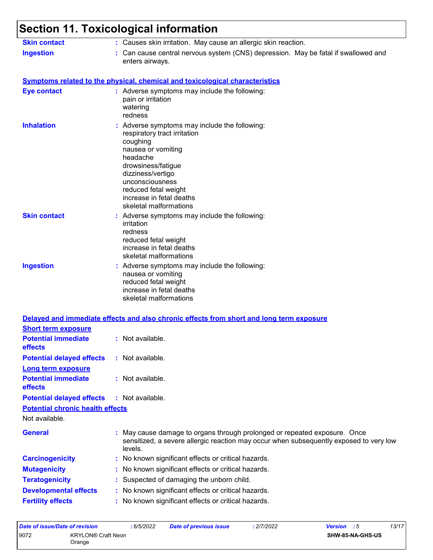#### **Section 11. Toxicological information** Not available. Can cause central nervous system (CNS) depression. May be fatal if swallowed and enters airways. **Ingestion : Skin contact :** Causes skin irritation. May cause an allergic skin reaction. May cause damage to organs through prolonged or repeated exposure. Once sensitized, a severe allergic reaction may occur when subsequently exposed to very low levels. **General : Carcinogenicity :** No known significant effects or critical hazards. **Symptoms related to the physical, chemical and toxicological characteristics Skin contact Ingestion Inhalation Adverse symptoms may include the following:**  $\blacksquare$ respiratory tract irritation coughing nausea or vomiting headache drowsiness/fatigue dizziness/vertigo unconsciousness reduced fetal weight increase in fetal deaths skeletal malformations Adverse symptoms may include the following: **:** nausea or vomiting reduced fetal weight increase in fetal deaths skeletal malformations Adverse symptoms may include the following: **:** irritation redness reduced fetal weight increase in fetal deaths skeletal malformations **Eye contact :** Adverse symptoms may include the following: pain or irritation watering redness **Potential chronic health effects Delayed and immediate effects and also chronic effects from short and long term exposure Potential immediate effects :** Not available. **Short term exposure Potential delayed effects :** Not available. **Potential immediate effects :** Not available. **Long term exposure Potential delayed effects :** Not available.

- **Mutagenicity :** No known significant effects or critical hazards.
- **Teratogenicity :** Suspected of damaging the unborn child.
- **Developmental effects :** No known significant effects or critical hazards.
- **Fertility effects :** No known significant effects or critical hazards.

| Date of issue/Date of revision |                                     | : 6/5/2022 | Date of previous issue | : 2/7/2022 | <b>Version</b> : 5      | 13/17 |
|--------------------------------|-------------------------------------|------------|------------------------|------------|-------------------------|-------|
| 9072                           | <b>KRYLON® Craft Neon</b><br>Orange |            |                        |            | <b>SHW-85-NA-GHS-US</b> |       |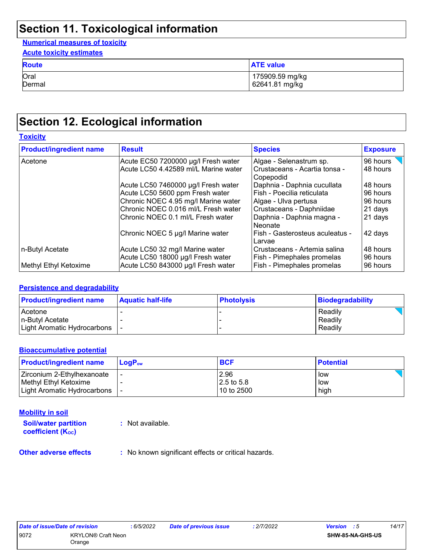# **Section 11. Toxicological information**

#### **Numerical measures of toxicity**

| <b>Acute toxicity estimates</b> |                  |  |  |  |  |
|---------------------------------|------------------|--|--|--|--|
| <b>Route</b>                    | <b>ATE value</b> |  |  |  |  |
| Oral                            | 175909.59 mg/kg  |  |  |  |  |
| Dermal                          | 62641.81 mg/kg   |  |  |  |  |

### **Section 12. Ecological information**

#### **Toxicity**

| <b>Product/ingredient name</b> | <b>Result</b>                                                        | <b>Species</b>                                             | <b>Exposure</b>      |
|--------------------------------|----------------------------------------------------------------------|------------------------------------------------------------|----------------------|
| Acetone                        | Acute EC50 7200000 µg/l Fresh water                                  | Algae - Selenastrum sp.                                    | 96 hours             |
|                                | Acute LC50 4.42589 ml/L Marine water                                 | Crustaceans - Acartia tonsa -<br>Copepodid                 | 48 hours             |
|                                | Acute LC50 7460000 µg/l Fresh water                                  | Daphnia - Daphnia cucullata                                | 48 hours             |
|                                | Acute LC50 5600 ppm Fresh water                                      | Fish - Poecilia reticulata                                 | 96 hours             |
|                                | Chronic NOEC 4.95 mg/l Marine water                                  | Algae - Ulva pertusa                                       | 96 hours             |
|                                | Chronic NOEC 0.016 ml/L Fresh water                                  | Crustaceans - Daphniidae                                   | 21 days              |
|                                | lChronic NOEC 0.1 ml/L Fresh water                                   | Daphnia - Daphnia magna -<br>Neonate                       | 21 days              |
|                                | Chronic NOEC 5 µg/l Marine water                                     | Fish - Gasterosteus aculeatus -<br>Larvae                  | 42 days              |
| n-Butyl Acetate                | Acute LC50 32 mg/l Marine water<br>Acute LC50 18000 µg/l Fresh water | Crustaceans - Artemia salina<br>Fish - Pimephales promelas | 48 hours<br>96 hours |
| Methyl Ethyl Ketoxime          | Acute LC50 843000 µg/l Fresh water                                   | Fish - Pimephales promelas                                 | 96 hours             |

#### **Persistence and degradability**

| <b>Product/ingredient name</b> | <b>Aquatic half-life</b> | <b>Photolysis</b> | Biodegradability |
|--------------------------------|--------------------------|-------------------|------------------|
| Acetone                        |                          |                   | Readily          |
| In-Butyl Acetate               |                          |                   | Readily          |
| Light Aromatic Hydrocarbons    |                          |                   | Readily          |

#### **Bioaccumulative potential**

| <b>Product/ingredient name</b> | $LoaPow$ | <b>BCF</b> | <b>Potential</b> |
|--------------------------------|----------|------------|------------------|
| Zirconium 2-Ethylhexanoate     |          | 2.96       | low              |
| l Methvl Ethvl Ketoxime        |          | 2.5 to 5.8 | low              |
| Light Aromatic Hydrocarbons    |          | 10 to 2500 | high             |

#### **Mobility in soil**

**Soil/water partition coefficient (KOC)**

**:** Not available.

**Other adverse effects** : No known significant effects or critical hazards.

| Date of issue/Date of revision |                    | : 6/5/2022 | Date of previous issue | : 2/7/2022 | <b>Version</b> : 5      | 14/17 |
|--------------------------------|--------------------|------------|------------------------|------------|-------------------------|-------|
| 9072                           | KRYLON® Craft Neon |            |                        |            | <b>SHW-85-NA-GHS-US</b> |       |
|                                | Orange             |            |                        |            |                         |       |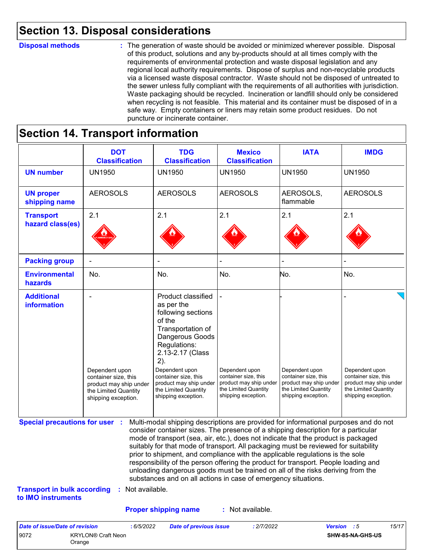### **Section 13. Disposal considerations**

#### **Disposal methods :**

The generation of waste should be avoided or minimized wherever possible. Disposal of this product, solutions and any by-products should at all times comply with the requirements of environmental protection and waste disposal legislation and any regional local authority requirements. Dispose of surplus and non-recyclable products via a licensed waste disposal contractor. Waste should not be disposed of untreated to the sewer unless fully compliant with the requirements of all authorities with jurisdiction. Waste packaging should be recycled. Incineration or landfill should only be considered when recycling is not feasible. This material and its container must be disposed of in a safe way. Empty containers or liners may retain some product residues. Do not puncture or incinerate container.

# **Section 14. Transport information**

9072 KRYLON® Craft Neon Orange

|                                                                             | <b>DOT</b><br><b>Classification</b>                                                                             | <b>TDG</b><br><b>Classification</b>                                                                                                                                                                                                                                                                                                                                                                                                                                                                                                                                                                                                                                                 | <b>Mexico</b><br><b>Classification</b>                                                                          | <b>IATA</b>                                                                                                     | <b>IMDG</b>                                                                                                     |
|-----------------------------------------------------------------------------|-----------------------------------------------------------------------------------------------------------------|-------------------------------------------------------------------------------------------------------------------------------------------------------------------------------------------------------------------------------------------------------------------------------------------------------------------------------------------------------------------------------------------------------------------------------------------------------------------------------------------------------------------------------------------------------------------------------------------------------------------------------------------------------------------------------------|-----------------------------------------------------------------------------------------------------------------|-----------------------------------------------------------------------------------------------------------------|-----------------------------------------------------------------------------------------------------------------|
| <b>UN number</b>                                                            | <b>UN1950</b>                                                                                                   | <b>UN1950</b>                                                                                                                                                                                                                                                                                                                                                                                                                                                                                                                                                                                                                                                                       | <b>UN1950</b>                                                                                                   | <b>UN1950</b>                                                                                                   | <b>UN1950</b>                                                                                                   |
| <b>UN proper</b><br>shipping name                                           | <b>AEROSOLS</b>                                                                                                 | <b>AEROSOLS</b>                                                                                                                                                                                                                                                                                                                                                                                                                                                                                                                                                                                                                                                                     | <b>AEROSOLS</b>                                                                                                 | AEROSOLS,<br>flammable                                                                                          | <b>AEROSOLS</b>                                                                                                 |
| <b>Transport</b><br>hazard class(es)                                        | 2.1                                                                                                             | 2.1                                                                                                                                                                                                                                                                                                                                                                                                                                                                                                                                                                                                                                                                                 | 2.1                                                                                                             | 2.1                                                                                                             | 2.1                                                                                                             |
| <b>Packing group</b>                                                        |                                                                                                                 |                                                                                                                                                                                                                                                                                                                                                                                                                                                                                                                                                                                                                                                                                     |                                                                                                                 |                                                                                                                 |                                                                                                                 |
| <b>Environmental</b><br>hazards                                             | No.                                                                                                             | No.                                                                                                                                                                                                                                                                                                                                                                                                                                                                                                                                                                                                                                                                                 | No.                                                                                                             | No.                                                                                                             | No.                                                                                                             |
| <b>Additional</b><br>information                                            | Dependent upon<br>container size, this<br>product may ship under<br>the Limited Quantity<br>shipping exception. | <b>Product classified</b><br>as per the<br>following sections<br>of the<br>Transportation of<br>Dangerous Goods<br>Regulations:<br>2.13-2.17 (Class<br>2).<br>Dependent upon<br>container size, this<br>product may ship under<br>the Limited Quantity<br>shipping exception.                                                                                                                                                                                                                                                                                                                                                                                                       | Dependent upon<br>container size, this<br>product may ship under<br>the Limited Quantity<br>shipping exception. | Dependent upon<br>container size, this<br>product may ship under<br>the Limited Quantity<br>shipping exception. | Dependent upon<br>container size, this<br>product may ship under<br>the Limited Quantity<br>shipping exception. |
| <b>Special precautions for user :</b><br><b>Transport in bulk according</b> | : Not available.                                                                                                | Multi-modal shipping descriptions are provided for informational purposes and do not<br>consider container sizes. The presence of a shipping description for a particular<br>mode of transport (sea, air, etc.), does not indicate that the product is packaged<br>suitably for that mode of transport. All packaging must be reviewed for suitability<br>prior to shipment, and compliance with the applicable regulations is the sole<br>responsibility of the person offering the product for transport. People loading and<br>unloading dangerous goods must be trained on all of the risks deriving from the<br>substances and on all actions in case of emergency situations. |                                                                                                                 |                                                                                                                 |                                                                                                                 |
| to IMO instruments                                                          |                                                                                                                 |                                                                                                                                                                                                                                                                                                                                                                                                                                                                                                                                                                                                                                                                                     |                                                                                                                 |                                                                                                                 |                                                                                                                 |
|                                                                             |                                                                                                                 | <b>Proper shipping name</b>                                                                                                                                                                                                                                                                                                                                                                                                                                                                                                                                                                                                                                                         | : Not available.                                                                                                |                                                                                                                 |                                                                                                                 |

**SHW-85-NA-GHS-US**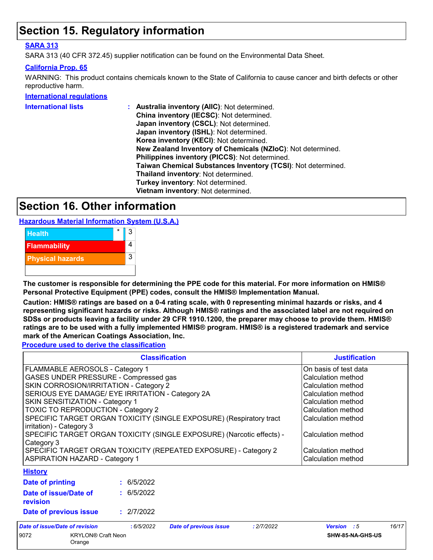### **Section 15. Regulatory information**

#### **SARA 313**

SARA 313 (40 CFR 372.45) supplier notification can be found on the Environmental Data Sheet.

#### **California Prop. 65**

WARNING: This product contains chemicals known to the State of California to cause cancer and birth defects or other reproductive harm.

#### **International regulations**

| <b>International lists</b> | Australia inventory (AIIC): Not determined.                  |
|----------------------------|--------------------------------------------------------------|
|                            | China inventory (IECSC): Not determined.                     |
|                            | Japan inventory (CSCL): Not determined.                      |
|                            | Japan inventory (ISHL): Not determined.                      |
|                            | Korea inventory (KECI): Not determined.                      |
|                            | New Zealand Inventory of Chemicals (NZIoC): Not determined.  |
|                            | Philippines inventory (PICCS): Not determined.               |
|                            | Taiwan Chemical Substances Inventory (TCSI): Not determined. |
|                            | Thailand inventory: Not determined.                          |
|                            | Turkey inventory: Not determined.                            |
|                            | Vietnam inventory: Not determined.                           |
|                            |                                                              |

### **Section 16. Other information**

**Hazardous Material Information System (U.S.A.)**



**The customer is responsible for determining the PPE code for this material. For more information on HMIS® Personal Protective Equipment (PPE) codes, consult the HMIS® Implementation Manual.**

**Caution: HMIS® ratings are based on a 0-4 rating scale, with 0 representing minimal hazards or risks, and 4 representing significant hazards or risks. Although HMIS® ratings and the associated label are not required on SDSs or products leaving a facility under 29 CFR 1910.1200, the preparer may choose to provide them. HMIS® ratings are to be used with a fully implemented HMIS® program. HMIS® is a registered trademark and service mark of the American Coatings Association, Inc.**

**Procedure used to derive the classification**

|                                                                                                 |                                                                                            | <b>Classification</b>         |            | <b>Justification</b>                     |       |  |
|-------------------------------------------------------------------------------------------------|--------------------------------------------------------------------------------------------|-------------------------------|------------|------------------------------------------|-------|--|
| FLAMMABLE AEROSOLS - Category 1                                                                 |                                                                                            |                               |            | On basis of test data                    |       |  |
| GASES UNDER PRESSURE - Compressed gas<br>Calculation method                                     |                                                                                            |                               |            |                                          |       |  |
|                                                                                                 | SKIN CORROSION/IRRITATION - Category 2<br>SERIOUS EYE DAMAGE/ EYE IRRITATION - Category 2A |                               |            |                                          |       |  |
|                                                                                                 |                                                                                            |                               |            |                                          |       |  |
| SKIN SENSITIZATION - Category 1<br>Calculation method                                           |                                                                                            |                               |            |                                          |       |  |
|                                                                                                 | TOXIC TO REPRODUCTION - Category 2                                                         |                               |            |                                          |       |  |
| SPECIFIC TARGET ORGAN TOXICITY (SINGLE EXPOSURE) (Respiratory tract<br>irritation) - Category 3 |                                                                                            |                               |            | Calculation method                       |       |  |
| SPECIFIC TARGET ORGAN TOXICITY (SINGLE EXPOSURE) (Narcotic effects) -<br>Category 3             |                                                                                            |                               |            | Calculation method                       |       |  |
| SPECIFIC TARGET ORGAN TOXICITY (REPEATED EXPOSURE) - Category 2                                 |                                                                                            |                               |            | Calculation method<br>Calculation method |       |  |
| <b>ASPIRATION HAZARD - Category 1</b>                                                           |                                                                                            |                               |            |                                          |       |  |
| <b>History</b>                                                                                  |                                                                                            |                               |            |                                          |       |  |
| Date of printing                                                                                | : 6/5/2022                                                                                 |                               |            |                                          |       |  |
| Date of issue/Date of<br>revision                                                               | : 6/5/2022                                                                                 |                               |            |                                          |       |  |
| Date of previous issue                                                                          | : 2/7/2022                                                                                 |                               |            |                                          |       |  |
| Date of issue/Date of revision                                                                  | : 6/5/2022                                                                                 | <b>Date of previous issue</b> | : 2/7/2022 | <b>Version</b> : 5                       | 16/17 |  |